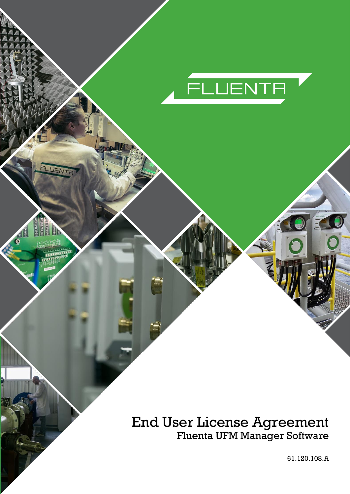

# End User License Agreement Fluenta UFM Manager Software

61.120.108.A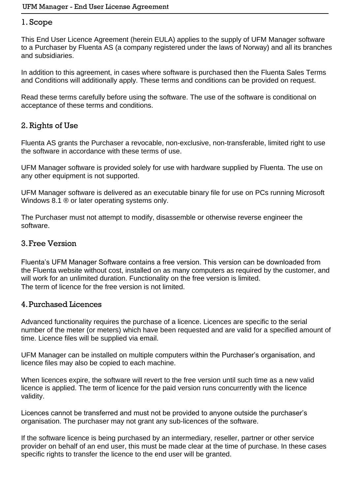### 1. Scope

This End User Licence Agreement (herein EULA) applies to the supply of UFM Manager software to a Purchaser by Fluenta AS (a company registered under the laws of Norway) and all its branches and subsidiaries.

In addition to this agreement, in cases where software is purchased then the Fluenta Sales Terms and Conditions will additionally apply. These terms and conditions can be provided on request.

Read these terms carefully before using the software. The use of the software is conditional on acceptance of these terms and conditions.

## 2. Rights of Use

Fluenta AS grants the Purchaser a revocable, non-exclusive, non-transferable, limited right to use the software in accordance with these terms of use.

UFM Manager software is provided solely for use with hardware supplied by Fluenta. The use on any other equipment is not supported.

UFM Manager software is delivered as an executable binary file for use on PCs running Microsoft Windows 8.1 ® or later operating systems only.

The Purchaser must not attempt to modify, disassemble or otherwise reverse engineer the software.

#### 3.Free Version

Fluenta's UFM Manager Software contains a free version. This version can be downloaded from the Fluenta website without cost, installed on as many computers as required by the customer, and will work for an unlimited duration. Functionality on the free version is limited. The term of licence for the free version is not limited.

#### 4.Purchased Licences

Advanced functionality requires the purchase of a licence. Licences are specific to the serial number of the meter (or meters) which have been requested and are valid for a specified amount of time. Licence files will be supplied via email.

UFM Manager can be installed on multiple computers within the Purchaser's organisation, and licence files may also be copied to each machine.

When licences expire, the software will revert to the free version until such time as a new valid licence is applied. The term of licence for the paid version runs concurrently with the licence validity.

Licences cannot be transferred and must not be provided to anyone outside the purchaser's organisation. The purchaser may not grant any sub-licences of the software.

If the software licence is being purchased by an intermediary, reseller, partner or other service provider on behalf of an end user, this must be made clear at the time of purchase. In these cases specific rights to transfer the licence to the end user will be granted.